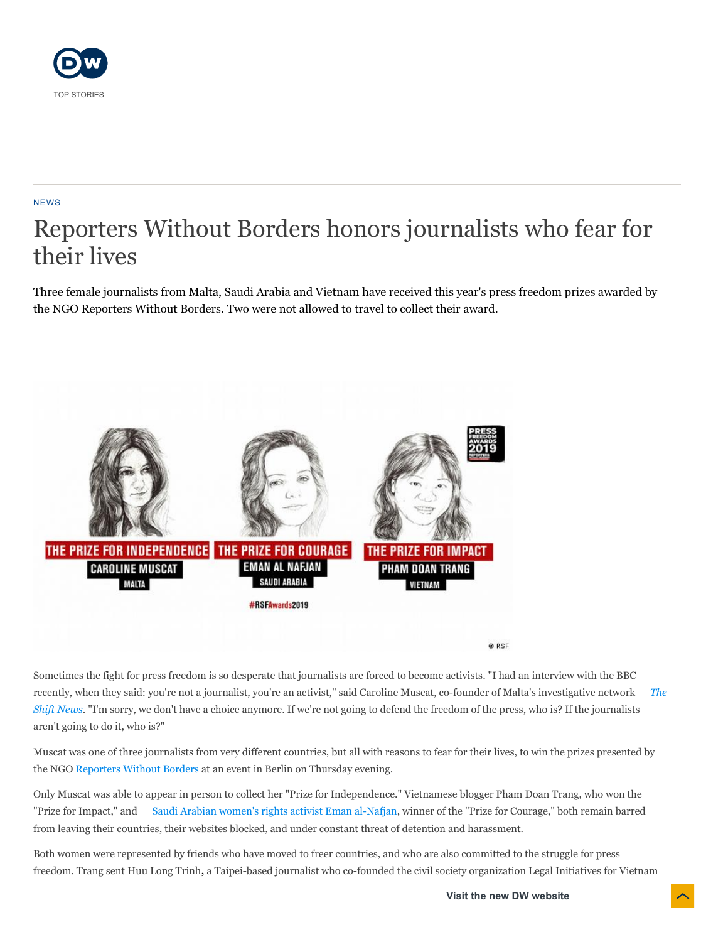

## NEWS

# Reporters Without Borders honors journalists who fear for their lives

Three female journalists from Malta, Saudi Arabia and Vietnam have received this year's press freedom prizes awarded by the NGO Reporters Without Borders. Two were not allowed to travel to collect their award.



Sometimes the fight for press freedom is so desperate that journalists are forced to become activists. "I had an interview with the BBC [recently, when they said: you're not a journalist, you're an activist," said Caroline Muscat, co-founder of Malta's investigative network](https://theshiftnews.com/)  *The Shift News*. "I'm sorry, we don't have a choice anymore. If we're not going to defend the freedom of the press, who is? If the journalists aren't going to do it, who is?"

Muscat was one of three journalists from very different countries, but all with reasons to fear for their lives, to win the prizes presented by the NGO [Reporters Without Borders](https://www.dw.com/en/reporters-without-borders-head-journalism-in-europe-has-been-weakened/a-48544630) at an event in Berlin on Thursday evening.

Only Muscat was able to appear in person to collect her "Prize for Independence." Vietnamese blogger Pham Doan Trang, who won the "Prize for Impact," and [Saudi Arabian women's rights activist Eman al-Nafjan](https://saudiwoman.me/), winner of the "Prize for Courage," both remain barred from leaving their countries, their websites blocked, and under constant threat of detention and harassment.

Both women were represented by friends who have moved to freer countries, and who are also committed to the struggle for press freedom. Trang sent Huu Long Trinh, a Taipei-based journalist who co-founded the civil society organization Legal Initiatives for Vietnam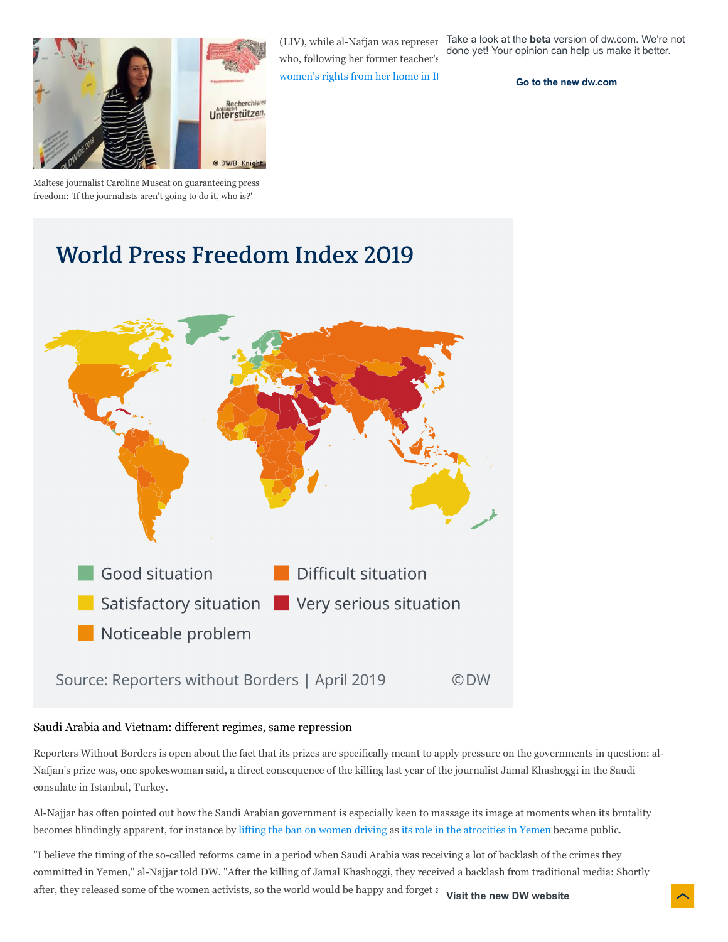

who, following her former teacher's

women's rights from her home in It

(LIV), while al-Nafjan was represer Take a look at the **beta** version of dw.com. We're not done yet! Your opinion can help us make it better.

**[Go to the new dw.com](https://beta.dw.com/en/reporters-without-borders-honors-journalists-who-fear-for-their-lives/a-50399903)**

Maltese journalist Caroline Muscat on guaranteeing press freedom: 'If the journalists aren't going to do it, who is?'

## **World Press Freedom Index 2019**



## Saudi Arabia and Vietnam: different regimes, same repression

Reporters Without Borders is open about the fact that its prizes are specifically meant to apply pressure on the governments in question: al-Nafjan's prize was, one spokeswoman said, a direct consequence of the killing last year of the journalist Jamal Khashoggi in the Saudi consulate in Istanbul, Turkey.

Al-Najjar has often pointed out how the Saudi Arabian government is especially keen to massage its image at moments when its brutality becomes blindingly apparent, for instance by [lifting the ban on women driving](https://www.dw.com/en/saudi-arabia-women-take-the-wheel-as-driving-ban-lifted/a-44361932) as [its role in the atrocities in Yemen](https://www.dw.com/en/covering-yemens-forgotten-war/a-49998595) became public.

"I believe the timing of the so-called reforms came in a period when Saudi Arabia was receiving a lot of backlash of the crimes they committed in Yemen," al-Najjar told DW. "After the killing of Jamal Khashoggi, they received a backlash from traditional media: Shortly after, they released some of the women activists, so the world would be happy and forget a **Visit the new DW website**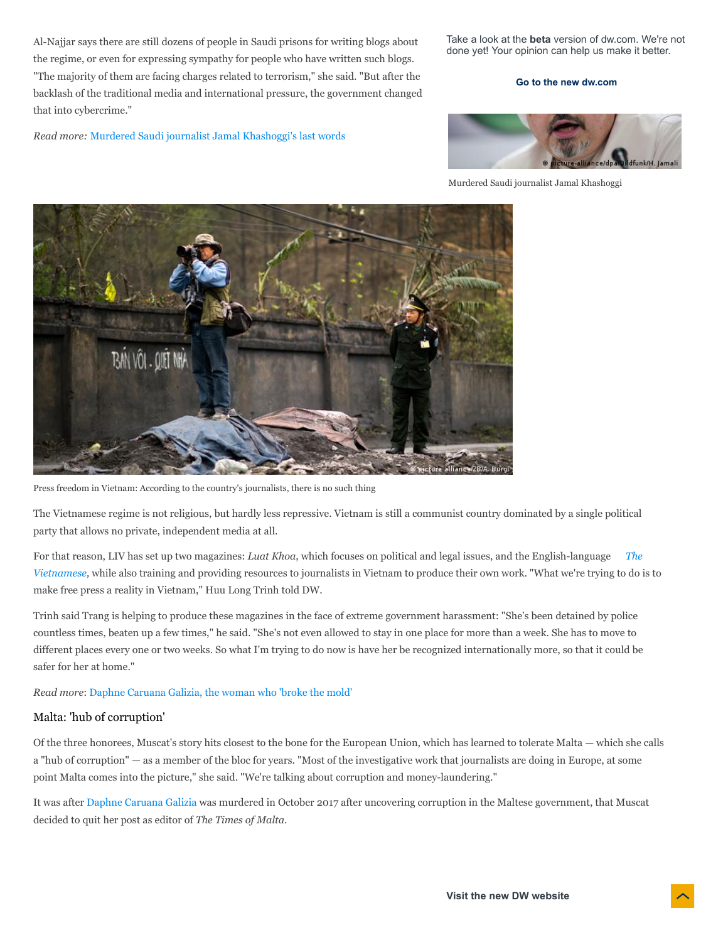Al-Najjar says there are still dozens of people in Saudi prisons for writing blogs about the regime, or even for expressing sympathy for people who have written such blogs. "The majority of them are facing charges related to terrorism," she said. "But after the backlash of the traditional media and international pressure, the government changed that into cybercrime."

*Read more:* [Murdered Saudi journalist Jamal Khashoggi's last words](https://www.dw.com/en/you-will-suffocate-me-saudi-journalist-jamal-khashoggis-last-words-to-his-murderers/a-50378706)

Take a look at the **beta** version of dw.com. We're not done yet! Your opinion can help us make it better.

#### **[Go to the new dw.com](https://beta.dw.com/en/reporters-without-borders-honors-journalists-who-fear-for-their-lives/a-50399903)**



Murdered Saudi journalist Jamal Khashoggi



Press freedom in Vietnam: According to the country's journalists, there is no such thing

The Vietnamese regime is not religious, but hardly less repressive. Vietnam is still a communist country dominated by a single political party that allows no private, independent media at all.

For that reason, LIV has set up two magazines: *Luat Khoa*, which focuses on political and legal issues, and the English-language *The Vietnamese,* [while also training and providing resources to journalists in Vietnam to produce their own work. "What we're trying to do i](https://www.thevietnamese.org/)s to make free press a reality in Vietnam," Huu Long Trinh told DW.

Trinh said Trang is helping to produce these magazines in the face of extreme government harassment: "She's been detained by police countless times, beaten up a few times," he said. "She's not even allowed to stay in one place for more than a week. She has to move to different places every one or two weeks. So what I'm trying to do now is have her be recognized internationally more, so that it could be safer for her at home."

*Read more*: [Daphne Caruana Galizia, the woman who 'broke the mold'](https://www.dw.com/en/daphne-caruana-galizia-the-woman-who-broke-the-mold/a-50134187)

## Malta: 'hub of corruption'

Of the three honorees, Muscat's story hits closest to the bone for the European Union, which has learned to tolerate Malta — which she calls a "hub of corruption" — as a member of the bloc for years. "Most of the investigative work that journalists are doing in Europe, at some point Malta comes into the picture," she said. "We're talking about corruption and money-laundering."

It was after [Daphne Caruana Galizia](https://www.dw.com/en/sons-of-daphne-caruana-galizia-the-journalist-loses-their-life-but-the-living-lose-their-right-to-know/a-46485246) was murdered in October 2017 after uncovering corruption in the Maltese government, that Muscat decided to quit her post as editor of *The Times of Malta*.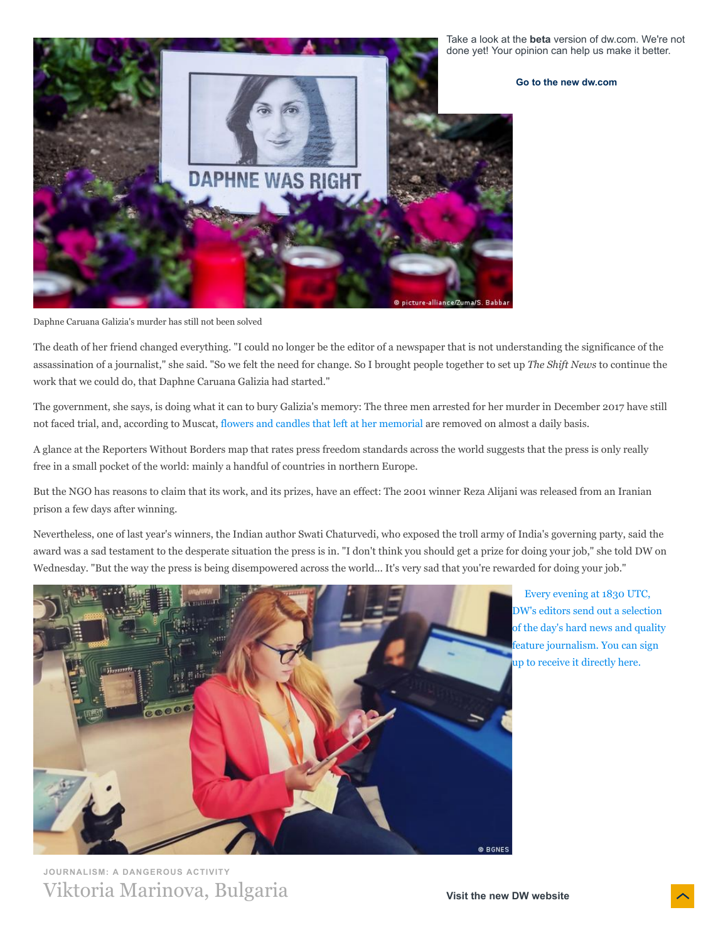

Daphne Caruana Galizia's murder has still not been solved

The death of her friend changed everything. "I could no longer be the editor of a newspaper that is not understanding the significance of the assassination of a journalist," she said. "So we felt the need for change. So I brought people together to set up *The Shift News* to continue the work that we could do, that Daphne Caruana Galizia had started."

The government, she says, is doing what it can to bury Galizia's memory: The three men arrested for her murder in December 2017 have still not faced trial, and, according to Muscat, [flowers and candles that left at her memorial](https://www.dw.com/en/malta-battles-over-memorial-to-murdered-journalist-daphne-caruana-galizia/a-45866540) are removed on almost a daily basis.

A glance at the Reporters Without Borders map that rates press freedom standards across the world suggests that the press is only really free in a small pocket of the world: mainly a handful of countries in northern Europe.

But the NGO has reasons to claim that its work, and its prizes, have an effect: The 2001 winner Reza Alijani was released from an Iranian prison a few days after winning.

Nevertheless, one of last year's winners, the Indian author Swati Chaturvedi, who exposed the troll army of India's governing party, said the award was a sad testament to the desperate situation the press is in. "I don't think you should get a prize for doing your job," she told DW on Wednesday. "But the way the press is being disempowered across the world... It's very sad that you're rewarded for doing your job."



Every evening at 1830 UTC, DW's editors send out a selection [of the day's hard news and quality](https://www.dw.com/en/newsletter-registration/a-15718229) feature journalism. You can sign up to receive it directly here.

**JOURNALISM: A DANGEROUS ACTIVITY** Viktoria Marinova, Bulgaria

**Visit the new DW website**